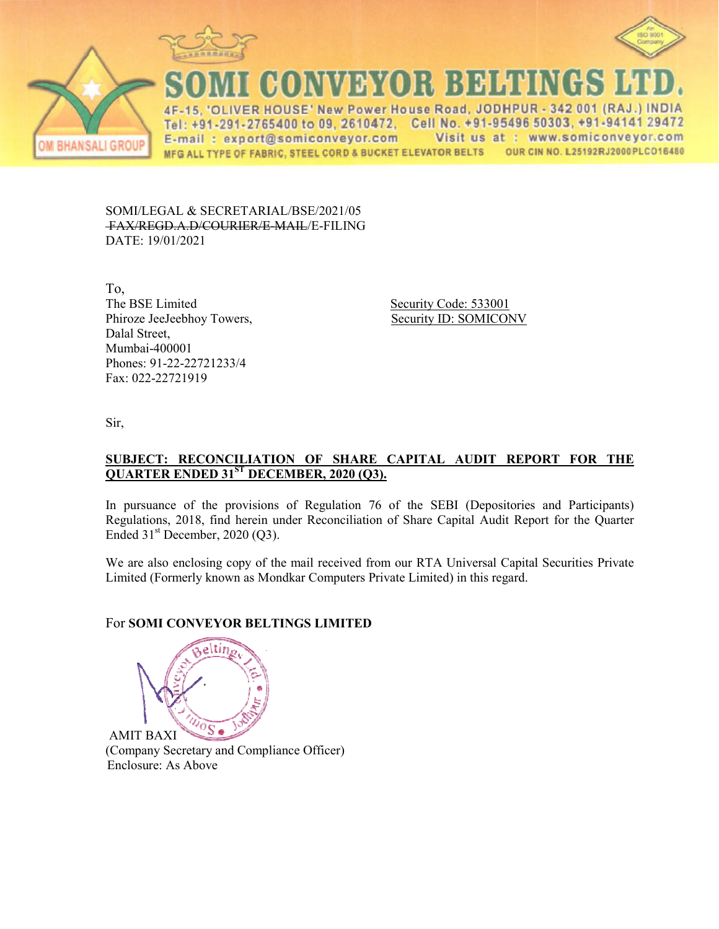



**VER HOUSE' New Power House Road, JO**  $-342001$  (RAJ  $\Lambda$ E Tel: +91-291-2765400 to 09, 2610472. Cell No. +91-95496 50303, +91-94141 29472 E-mail: export@somiconveyor.com Visit us at: www.somiconveyor.com **BHANSALI GROUP** OUR CIN NO. L25192RJ2000PLCO16480 MFG ALL TYPE OF FABRIC, STEEL CORD & BUCKET ELEVATOR BELTS

SOMI/LEGAL & SECRETARIAL/BSE/2021/05 FAX/REGD.A.D/COURIER/E R/E-MAIL/E-FILING DATE: 19/01/2021

To, The BSE Limited Phiroze JeeJeebhoy Towers, Dalal Street, Mumbai-400001 Phones: 91-22-22721233/4 Fax: 022-22721919

Security Code: 533001 Security ID: SOMICONV

Sir,

### **<u>SUBJECT: RECONCILIATION OF SHARE CAPITAL AUDIT REPORT FOR THE</u> QUARTER ENDED 31ST DECE DECEMBER, 2020 (Q3).**

In pursuance of the provisions of Regulation 76 of the SEBI (Depositories and Participants) Regulations, 2018, find herein under Reconciliation of Share Capital Audit Report for the Quarter Ended  $31<sup>st</sup>$  December, 2020 (Q3).

We are also enclosing copy of the mail received from our RTA Universal Capital Securities Private Limited (Formerly known as Mondkar Computers Private Limited) in this regard.

## For **SOMI CONVEYOR BELT BELTINGS LIMITED**



(Company Secretary and Compliance Officer) Enclosure: As Above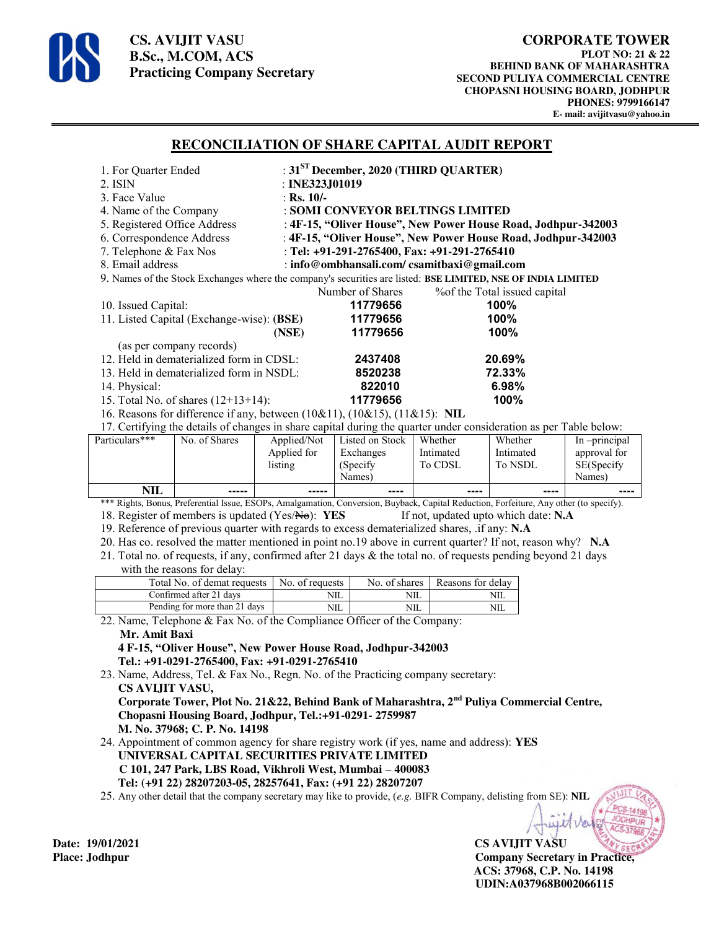

**CS. AVIJIT VASU B.Sc., M.COM, ACS Practicing Company Secretary** 

÷,

#### **RECONCILIATION OF SHARE CAPITAL AUDIT REPORT**

| 1. For Quarter Ended                                                                                              |                                             | : $31ST$ December, 2020 (THIRD QUARTER)                       |         |                                   |               |
|-------------------------------------------------------------------------------------------------------------------|---------------------------------------------|---------------------------------------------------------------|---------|-----------------------------------|---------------|
| $2.$ ISIN                                                                                                         | : INE323J01019                              |                                                               |         |                                   |               |
| 3. Face Value                                                                                                     | : Rs. $10/-$                                |                                                               |         |                                   |               |
| 4. Name of the Company                                                                                            |                                             | : SOMI CONVEYOR BELTINGS LIMITED                              |         |                                   |               |
| 5. Registered Office Address                                                                                      |                                             | : 4F-15, "Oliver House", New Power House Road, Jodhpur-342003 |         |                                   |               |
| 6. Correspondence Address                                                                                         |                                             | : 4F-15, "Oliver House", New Power House Road, Jodhpur-342003 |         |                                   |               |
| 7. Telephone & Fax Nos                                                                                            |                                             | : Tel: +91-291-2765400, Fax: +91-291-2765410                  |         |                                   |               |
| 8. Email address                                                                                                  | : info@ombhansali.com/ csamitbaxi@gmail.com |                                                               |         |                                   |               |
| 9. Names of the Stock Exchanges where the company's securities are listed: BSE LIMITED, NSE OF INDIA LIMITED      |                                             |                                                               |         |                                   |               |
|                                                                                                                   |                                             | Number of Shares                                              |         | % % % of the Total issued capital |               |
| 10. Issued Capital:                                                                                               |                                             | 11779656                                                      |         | 100%                              |               |
| 11. Listed Capital (Exchange-wise): (BSE)                                                                         |                                             | 11779656                                                      |         | 100%                              |               |
|                                                                                                                   | (NSE)                                       | 11779656                                                      |         | 100%                              |               |
| (as per company records)                                                                                          |                                             |                                                               |         |                                   |               |
| 12. Held in dematerialized form in CDSL:                                                                          |                                             | 2437408                                                       |         | 20.69%                            |               |
| 13. Held in dematerialized form in NSDL:                                                                          |                                             | 8520238                                                       |         | 72.33%                            |               |
| 14. Physical:                                                                                                     |                                             | 822010                                                        |         | 6.98%                             |               |
| 15. Total No. of shares $(12+13+14)$ :                                                                            |                                             | 11779656                                                      |         | 100%                              |               |
| 16. Reasons for difference if any, between (10&11), (10&15), (11&15): NIL                                         |                                             |                                                               |         |                                   |               |
| 17. Certifying the details of changes in share capital during the quarter under consideration as per Table below: |                                             |                                                               |         |                                   |               |
| Particulars***<br>No. of Shares                                                                                   |                                             | Applied/Not   Listed on Stock                                 | Whether | Whether                           | In -principal |

| NIL            | -----         | -----       | ----            | ----      | ----      | ----          |
|----------------|---------------|-------------|-----------------|-----------|-----------|---------------|
|                |               |             | Names)          |           |           | Names)        |
|                |               | listing     | (Specify)       | To CDSL   | To NSDL   | SE(Specify    |
|                |               | Applied for | Exchanges       | Intimated | Intimated | approval for  |
| Particulars*** | No. of Shares | Applied/Not | Listed on Stock | Whether   | Whether   | In -principal |

\*\*\* Rights, Bonus, Preferential Issue, ESOPs, Amalgamation, Conversion, Buyback, Capital Reduction, Forfeiture, Any other (to specify). 18. Register of members is updated (Yes/No): **YES** If not, updated upto which date: **N.A**

19. Reference of previous quarter with regards to excess dematerialized shares, .if any: **N.A**

20. Has co. resolved the matter mentioned in point no.19 above in current quarter? If not, reason why? **N.A**

21. Total no. of requests, if any, confirmed after 21 days & the total no. of requests pending beyond 21 days with the reasons for delay:

| Total No. of demat requests   | No. of requests | No. of shares | Reasons for delay |
|-------------------------------|-----------------|---------------|-------------------|
| Confirmed after 21 days       | NШ              | <b>NIL</b>    |                   |
| Pending for more than 21 days | NШ              | NIL           |                   |

22. Name, Telephone & Fax No. of the Compliance Officer of the Company:

#### **Mr. Amit Baxi**

 **4 F-15, "Oliver House", New Power House Road, Jodhpur-342003 Tel.: +91-0291-2765400, Fax: +91-0291-2765410** 

23. Name, Address, Tel. & Fax No., Regn. No. of the Practicing company secretary:  **CS AVIJIT VASU, Corporate Tower, Plot No. 21&22, Behind Bank of Maharashtra, 2nd Puliya Commercial Centre, Chopasni Housing Board, Jodhpur, Tel.:+91-0291- 2759987 M. No. 37968; C. P. No. 14198** 

24. Appointment of common agency for share registry work (if yes, name and address): **YES UNIVERSAL CAPITAL SECURITIES PRIVATE LIMITED C 101, 247 Park, LBS Road, Vikhroli West, Mumbai – 400083 Tel: (+91 22) 28207203-05, 28257641, Fax: (+91 22) 28207207**

25. Any other detail that the company secretary may like to provide, (*e.g.* BIFR Company, delisting from SE): **NIL**

**Date: 19/01/2021 CS AVIJIT VASU Place: Jodhpur Company Secretary in Practice, ACS: 37968, C.P. No. 14198 UDIN:A037968B002066115**